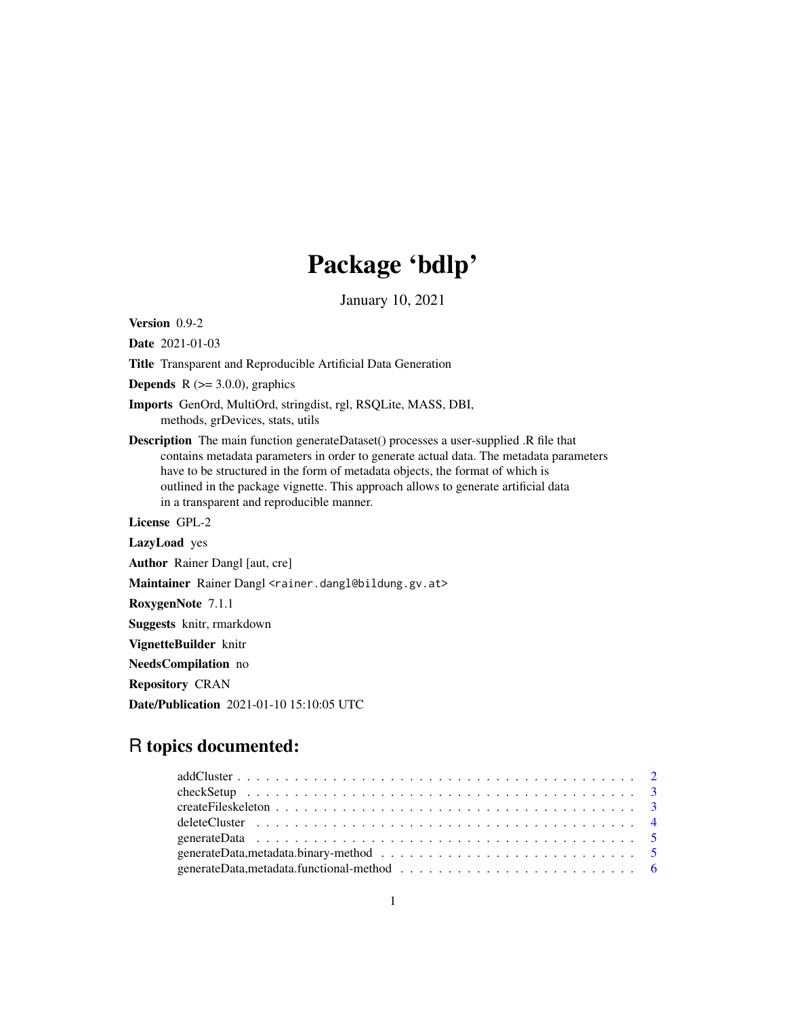# Package 'bdlp'

January 10, 2021

Version 0.9-2

Date 2021-01-03

Title Transparent and Reproducible Artificial Data Generation

**Depends** R  $(>= 3.0.0)$ , graphics

- Imports GenOrd, MultiOrd, stringdist, rgl, RSQLite, MASS, DBI, methods, grDevices, stats, utils
- Description The main function generateDataset() processes a user-supplied .R file that contains metadata parameters in order to generate actual data. The metadata parameters have to be structured in the form of metadata objects, the format of which is outlined in the package vignette. This approach allows to generate artificial data in a transparent and reproducible manner.

License GPL-2

LazyLoad yes

Author Rainer Dangl [aut, cre]

Maintainer Rainer Dangl <rainer.dangl@bildung.gv.at>

RoxygenNote 7.1.1

Suggests knitr, rmarkdown

VignetteBuilder knitr

NeedsCompilation no

Repository CRAN

Date/Publication 2021-01-10 15:10:05 UTC

# R topics documented:

| generateData, metadata.binary-method $\ldots \ldots \ldots \ldots \ldots \ldots \ldots \ldots \ldots \ldots \ldots$ |  |
|---------------------------------------------------------------------------------------------------------------------|--|
|                                                                                                                     |  |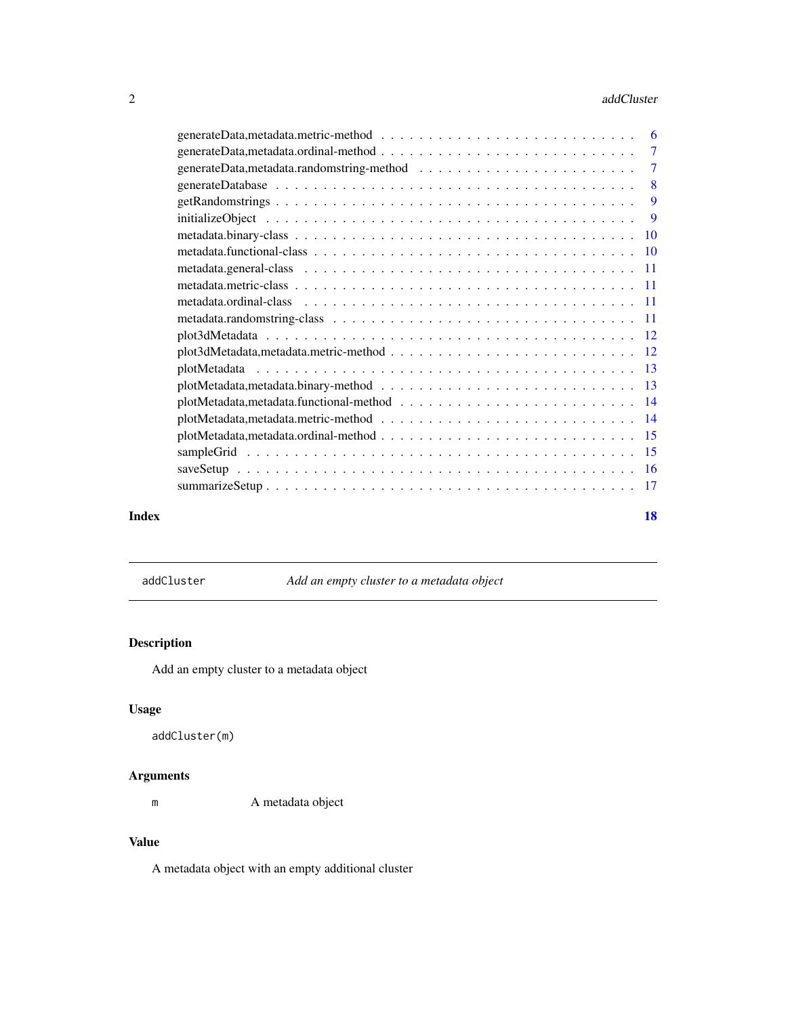#### <span id="page-1-0"></span>2 addCluster and the control of the control of the control of the control of the control of the control of the control of the control of the control of the control of the control of the control of the control of the contro

|       | $\tau$         |  |
|-------|----------------|--|
|       | $\overline{7}$ |  |
|       |                |  |
|       | 9              |  |
|       | $\overline{9}$ |  |
|       |                |  |
|       |                |  |
|       |                |  |
|       |                |  |
|       |                |  |
|       |                |  |
|       |                |  |
|       |                |  |
|       |                |  |
|       |                |  |
|       |                |  |
|       |                |  |
|       |                |  |
|       |                |  |
|       |                |  |
|       |                |  |
| Index | 18             |  |

addCluster *Add an empty cluster to a metadata object*

# Description

Add an empty cluster to a metadata object

# Usage

```
addCluster(m)
```
# Arguments

m A metadata object

# Value

A metadata object with an empty additional cluster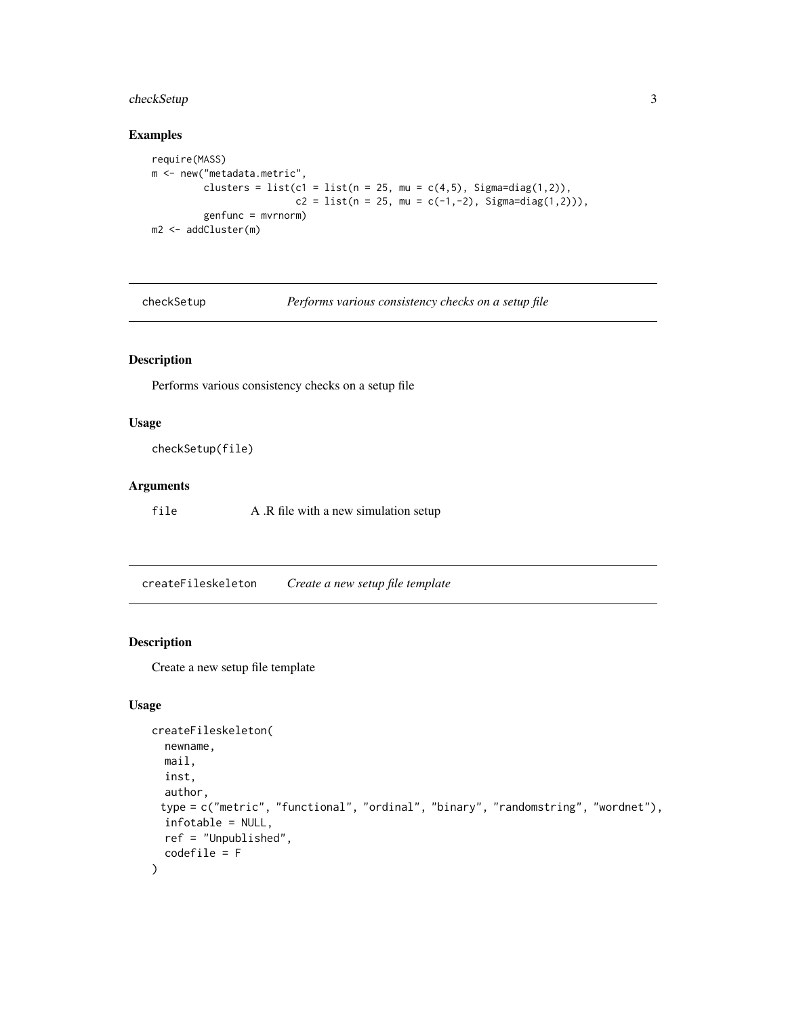# <span id="page-2-0"></span>checkSetup 3

## Examples

```
require(MASS)
m <- new("metadata.metric",
         clusters = list(c1 = list(n = 25, mu = c(4,5), Signa=diag(1,2)),c2 = list(n = 25, mu = c(-1, -2), Signa = diag(1, 2)),
         genfunc = mvrnorm)
m2 <- addCluster(m)
```
checkSetup *Performs various consistency checks on a setup file*

# Description

Performs various consistency checks on a setup file

#### Usage

checkSetup(file)

# Arguments

file A .R file with a new simulation setup

createFileskeleton *Create a new setup file template*

## Description

Create a new setup file template

# Usage

```
createFileskeleton(
 newname,
 mail,
 inst,
  author,
 type = c("metric", "functional", "ordinal", "binary", "randomstring", "wordnet"),
 infotable = NULL,
 ref = "Unpublished",
  codefile = F
\mathcal{E}
```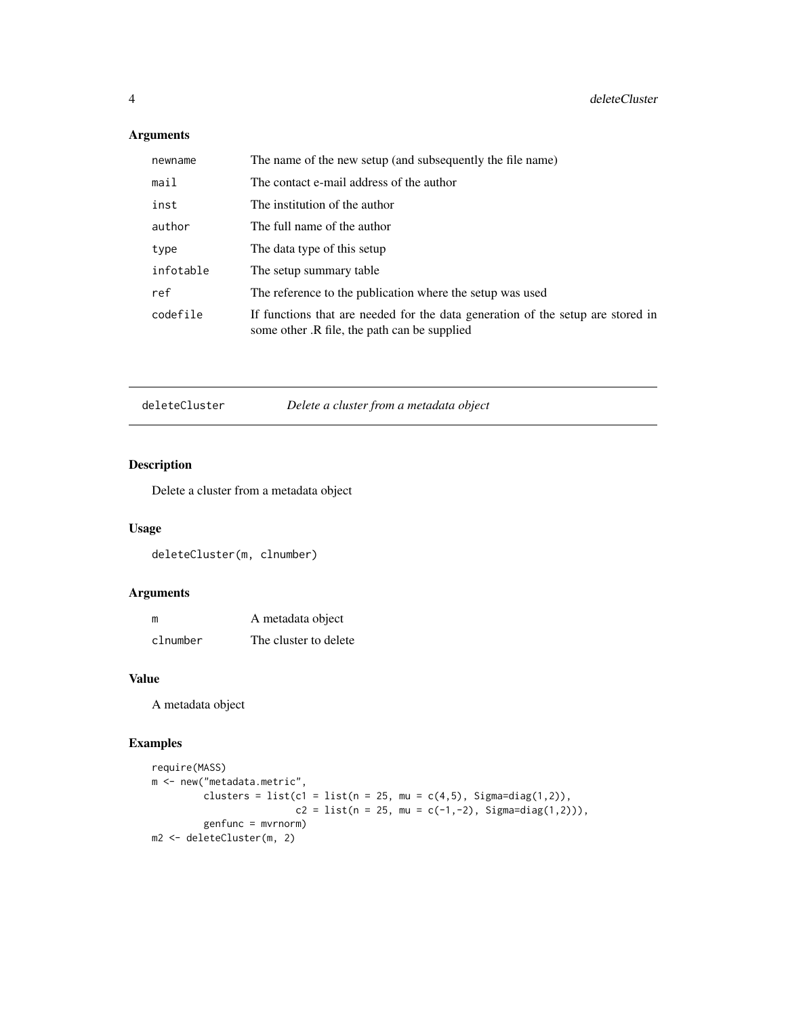# Arguments

| newname   | The name of the new setup (and subsequently the file name)                                                                      |
|-----------|---------------------------------------------------------------------------------------------------------------------------------|
| mail      | The contact e-mail address of the author                                                                                        |
| inst      | The institution of the author                                                                                                   |
| author    | The full name of the author                                                                                                     |
| type      | The data type of this setup                                                                                                     |
| infotable | The setup summary table                                                                                                         |
| ref       | The reference to the publication where the setup was used                                                                       |
| codefile  | If functions that are needed for the data generation of the setup are stored in<br>some other. R file, the path can be supplied |

deleteCluster *Delete a cluster from a metadata object*

# Description

Delete a cluster from a metadata object

# Usage

deleteCluster(m, clnumber)

# Arguments

| m        | A metadata object     |
|----------|-----------------------|
| clnumber | The cluster to delete |

#### Value

A metadata object

# Examples

```
require(MASS)
m <- new("metadata.metric",
         clusters = list(c1 = list(n = 25, mu = c(4,5), Sigma=diag(1,2)),
                         c2 = list(n = 25, mu = c(-1, -2), Signa = diag(1, 2))),genfunc = mvrnorm)
m2 <- deleteCluster(m, 2)
```
<span id="page-3-0"></span>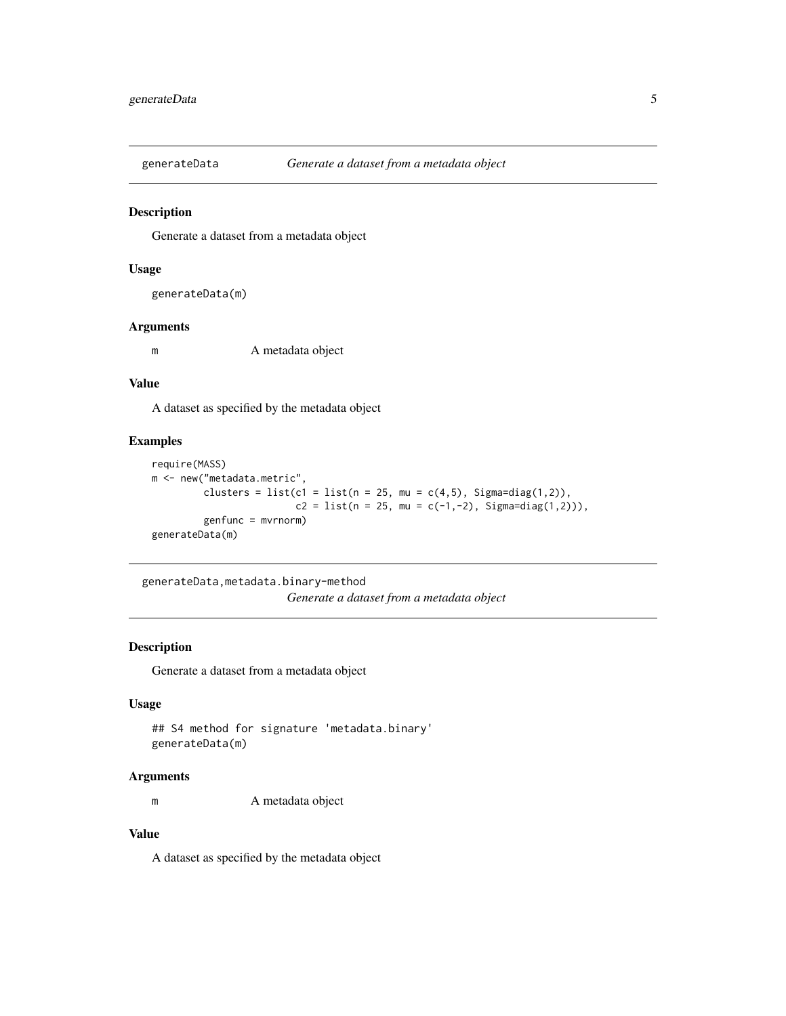<span id="page-4-0"></span>

Generate a dataset from a metadata object

# Usage

generateData(m)

#### Arguments

m A metadata object

#### Value

A dataset as specified by the metadata object

#### Examples

```
require(MASS)
m <- new("metadata.metric",
        clusters = list(c1 = list(n = 25, mu = c(4,5), Sigma=diag(1,2)),c2 = list(n = 25, mu = c(-1, -2), Signa=diag(1, 2)),
         genfunc = mvrnorm)
generateData(m)
```
generateData,metadata.binary-method

*Generate a dataset from a metadata object*

#### Description

Generate a dataset from a metadata object

#### Usage

```
## S4 method for signature 'metadata.binary'
generateData(m)
```
#### Arguments

m A metadata object

# Value

A dataset as specified by the metadata object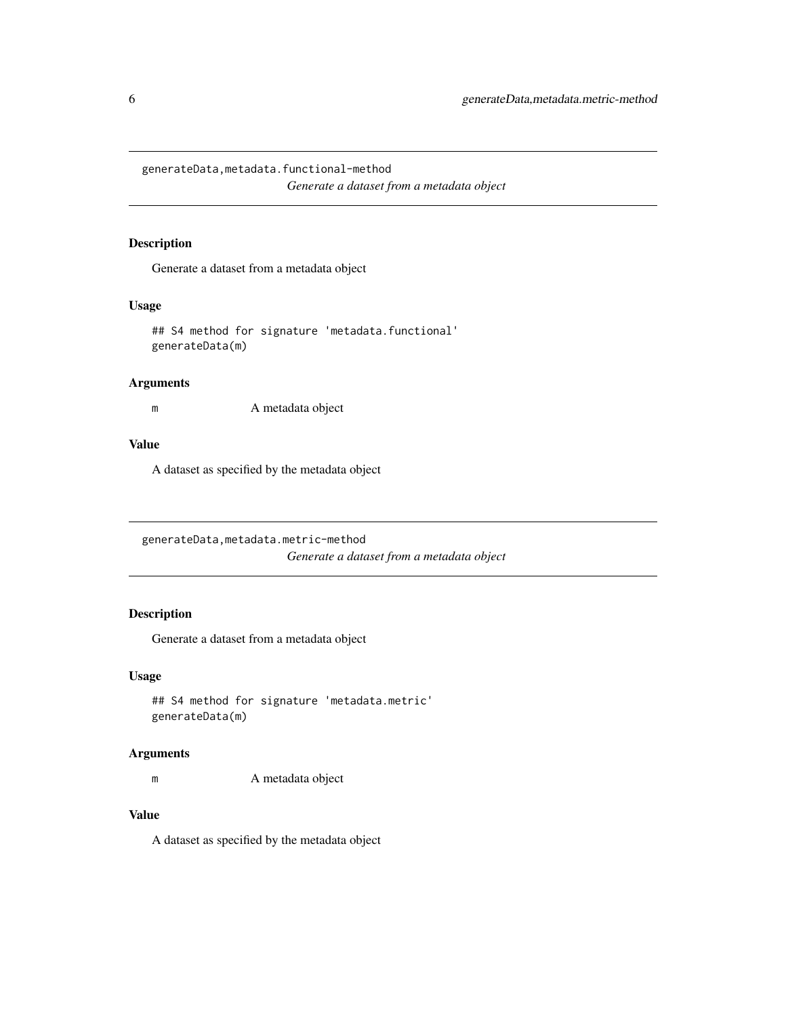<span id="page-5-0"></span>generateData,metadata.functional-method *Generate a dataset from a metadata object*

#### Description

Generate a dataset from a metadata object

#### Usage

```
## S4 method for signature 'metadata.functional'
generateData(m)
```
#### Arguments

m A metadata object

## Value

A dataset as specified by the metadata object

generateData,metadata.metric-method *Generate a dataset from a metadata object*

# Description

Generate a dataset from a metadata object

#### Usage

```
## S4 method for signature 'metadata.metric'
generateData(m)
```
### Arguments

m A metadata object

#### Value

A dataset as specified by the metadata object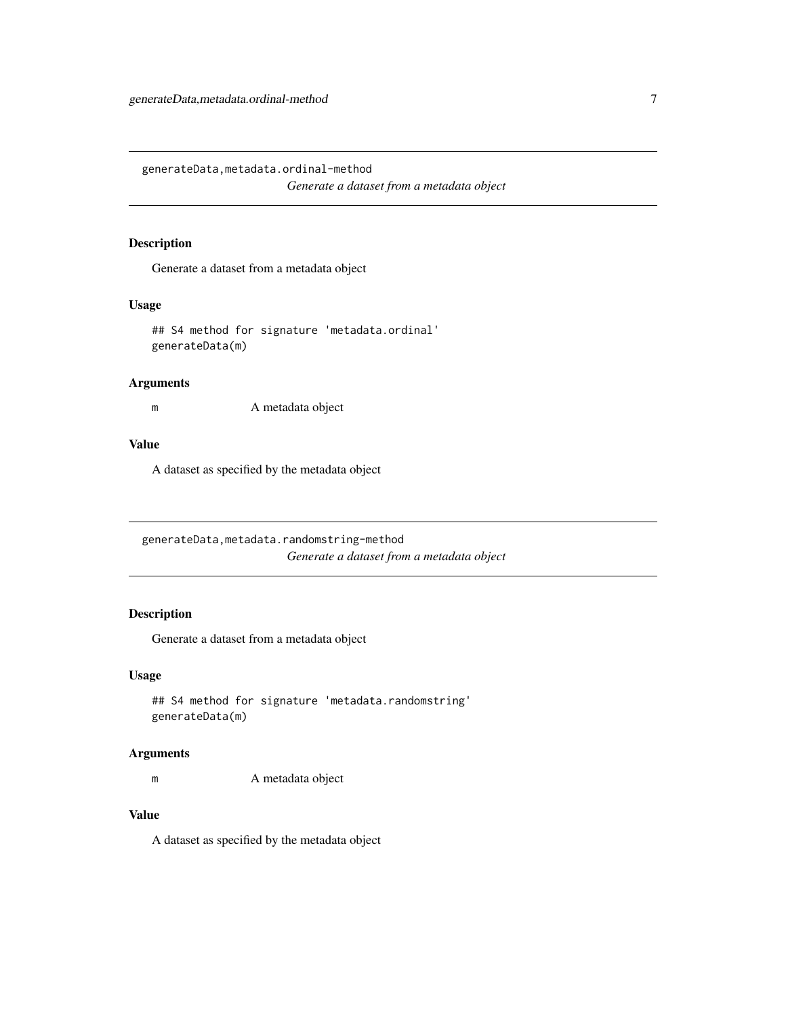<span id="page-6-0"></span>generateData,metadata.ordinal-method *Generate a dataset from a metadata object*

#### Description

Generate a dataset from a metadata object

#### Usage

```
## S4 method for signature 'metadata.ordinal'
generateData(m)
```
#### Arguments

m A metadata object

# Value

A dataset as specified by the metadata object

generateData,metadata.randomstring-method *Generate a dataset from a metadata object*

# Description

Generate a dataset from a metadata object

# Usage

```
## S4 method for signature 'metadata.randomstring'
generateData(m)
```
# Arguments

m A metadata object

#### Value

A dataset as specified by the metadata object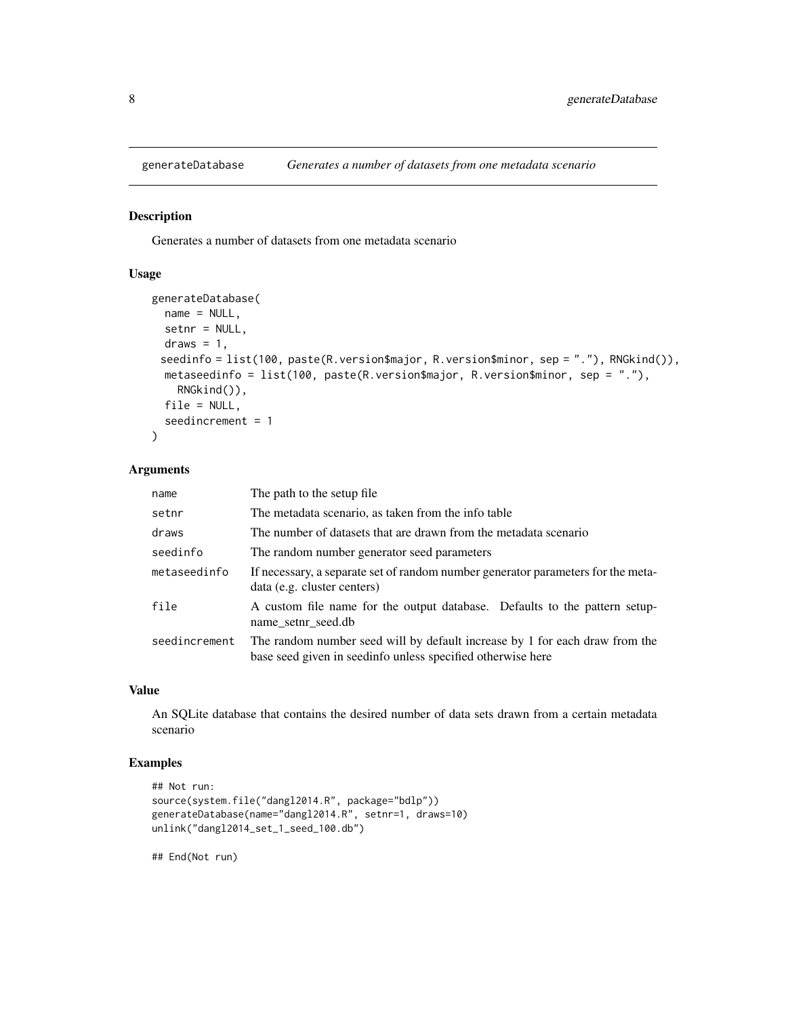<span id="page-7-0"></span>

Generates a number of datasets from one metadata scenario

# Usage

```
generateDatabase(
 name = NULL,setnr = NULL,
  draws = 1,
 seedinfo = list(100, paste(R.version$major, R.version$minor, sep = "."), RNGkind()),
 metaseedinfo = list(100, paste(R.version$major, R.version$minor, sep = "."),
    RNGkind()),
  file = NULL,
  seedincrement = 1
)
```
#### Arguments

| name          | The path to the setup file.                                                                                                                |
|---------------|--------------------------------------------------------------------------------------------------------------------------------------------|
| setnr         | The metadata scenario, as taken from the info table                                                                                        |
| draws         | The number of datasets that are drawn from the metadata scenario                                                                           |
| seedinfo      | The random number generator seed parameters                                                                                                |
| metaseedinfo  | If necessary, a separate set of random number generator parameters for the meta-<br>data (e.g. cluster centers)                            |
| file          | A custom file name for the output database. Defaults to the pattern setup-<br>name setnr seed.db                                           |
| seedincrement | The random number seed will by default increase by 1 for each draw from the<br>base seed given in seedinfo unless specified otherwise here |

#### Value

An SQLite database that contains the desired number of data sets drawn from a certain metadata scenario

#### Examples

```
## Not run:
source(system.file("dangl2014.R", package="bdlp"))
generateDatabase(name="dangl2014.R", setnr=1, draws=10)
unlink("dangl2014_set_1_seed_100.db")
```
## End(Not run)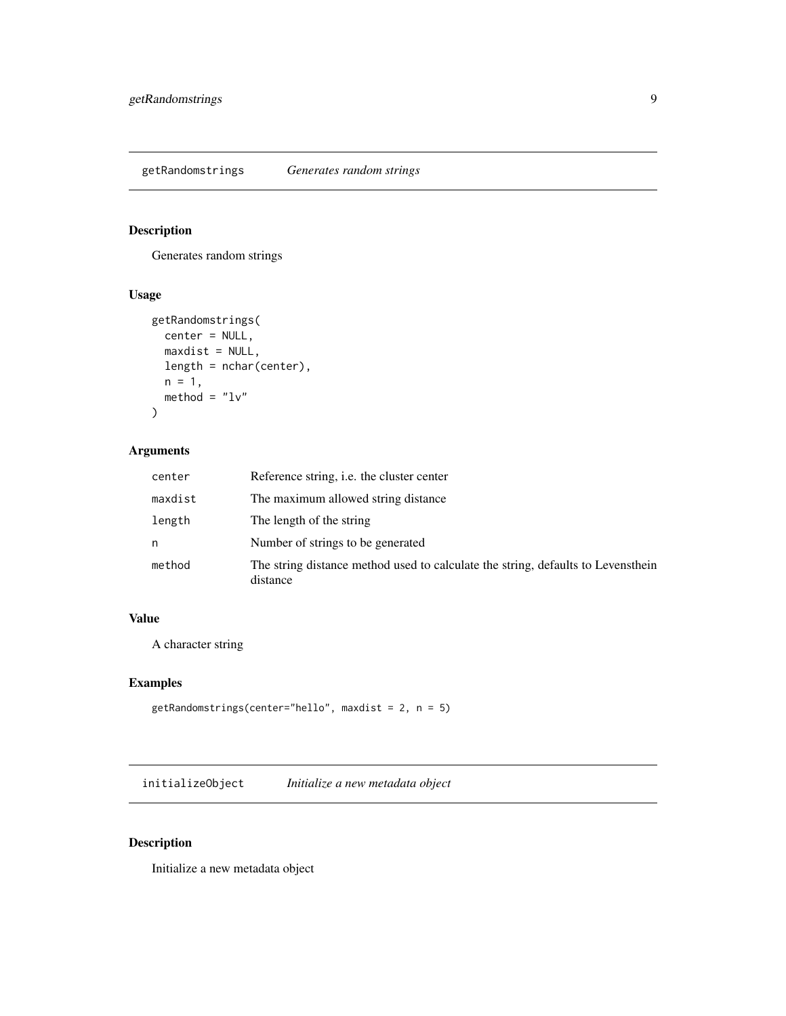<span id="page-8-0"></span>getRandomstrings *Generates random strings*

# Description

Generates random strings

#### Usage

```
getRandomstrings(
 center = NULL,
 maxdist = NULL,
 length = nchar(center),
 n = 1,
 method = "lv")
```
# Arguments

| center  | Reference string, i.e. the cluster center                                                    |
|---------|----------------------------------------------------------------------------------------------|
| maxdist | The maximum allowed string distance                                                          |
| length  | The length of the string                                                                     |
| n       | Number of strings to be generated                                                            |
| method  | The string distance method used to calculate the string, defaults to Levensthein<br>distance |

# Value

A character string

# Examples

```
getRandomstrings(center="hello", maxdist = 2, n = 5)
```
initializeObject *Initialize a new metadata object*

# Description

Initialize a new metadata object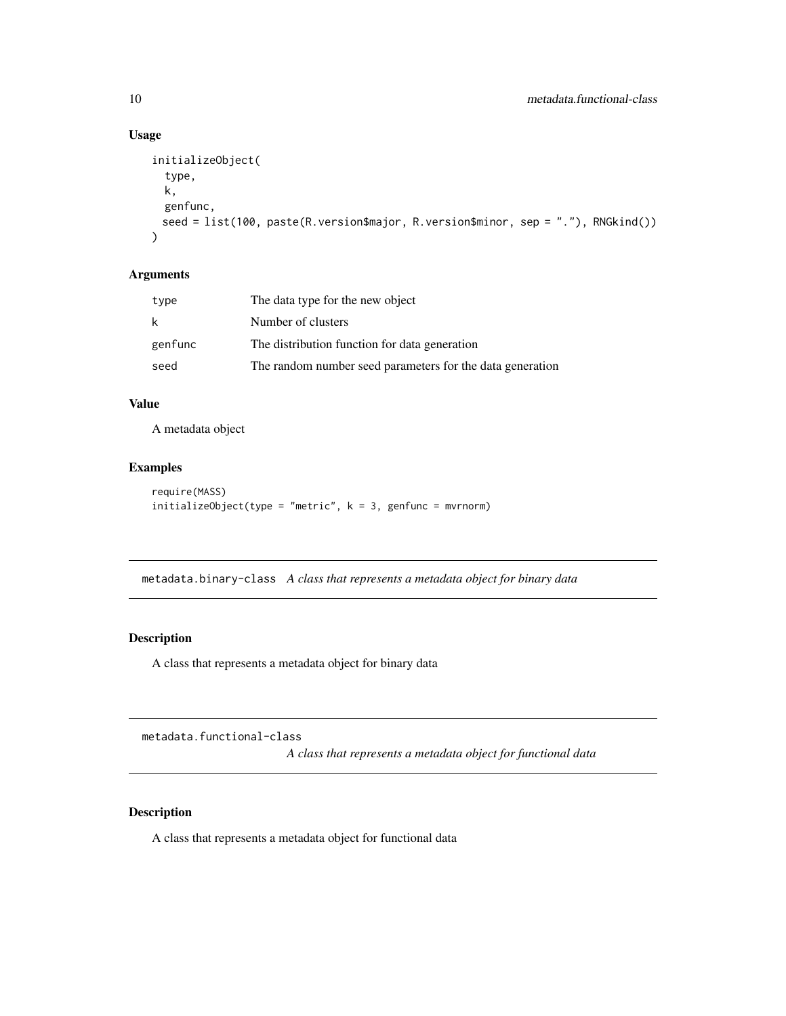## Usage

```
initializeObject(
  type,
  k,
  genfunc,
 seed = list(100, paste(R.version$major, R.version$minor, sep = "."), RNGkind())
\mathcal{L}
```
# Arguments

| type    | The data type for the new object                          |
|---------|-----------------------------------------------------------|
| k       | Number of clusters                                        |
| genfunc | The distribution function for data generation             |
| seed    | The random number seed parameters for the data generation |

#### Value

A metadata object

### Examples

```
require(MASS)
initializeObject(type = "metric", k = 3, genfunc = mvrnorm)
```
metadata.binary-class *A class that represents a metadata object for binary data*

#### Description

A class that represents a metadata object for binary data

metadata.functional-class

*A class that represents a metadata object for functional data*

#### Description

A class that represents a metadata object for functional data

<span id="page-9-0"></span>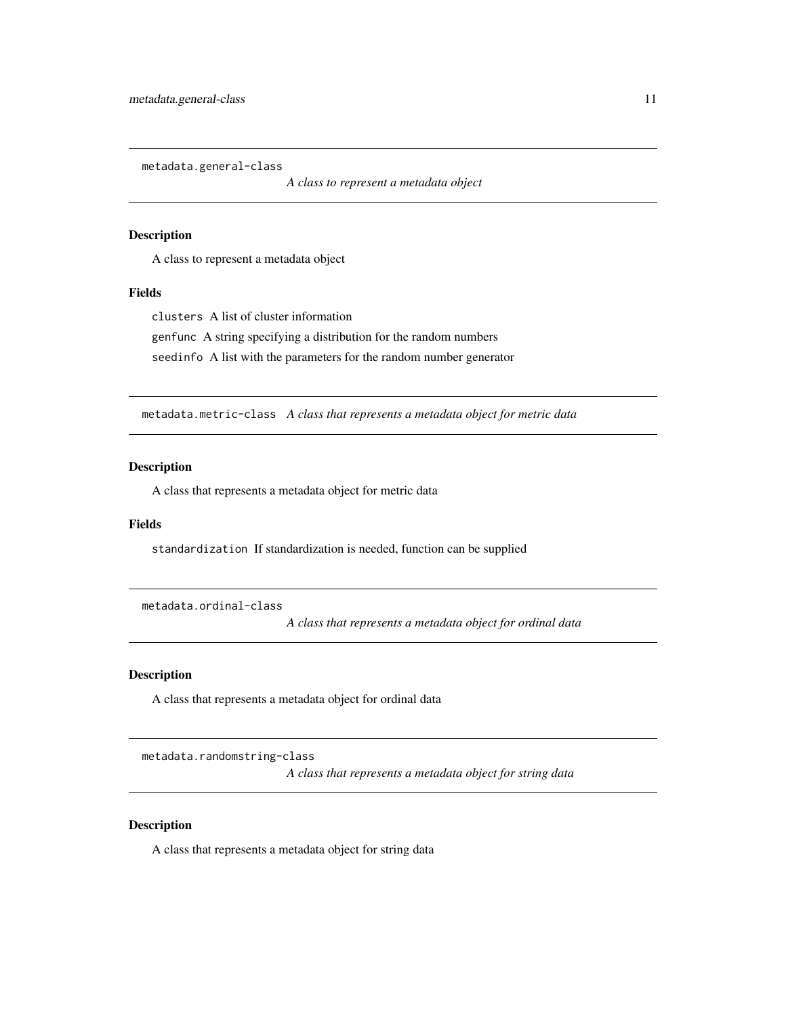<span id="page-10-0"></span>metadata.general-class

*A class to represent a metadata object*

#### Description

A class to represent a metadata object

#### Fields

clusters A list of cluster information genfunc A string specifying a distribution for the random numbers seedinfo A list with the parameters for the random number generator

metadata.metric-class *A class that represents a metadata object for metric data*

#### Description

A class that represents a metadata object for metric data

#### Fields

standardization If standardization is needed, function can be supplied

metadata.ordinal-class

*A class that represents a metadata object for ordinal data*

#### Description

A class that represents a metadata object for ordinal data

metadata.randomstring-class

*A class that represents a metadata object for string data*

#### Description

A class that represents a metadata object for string data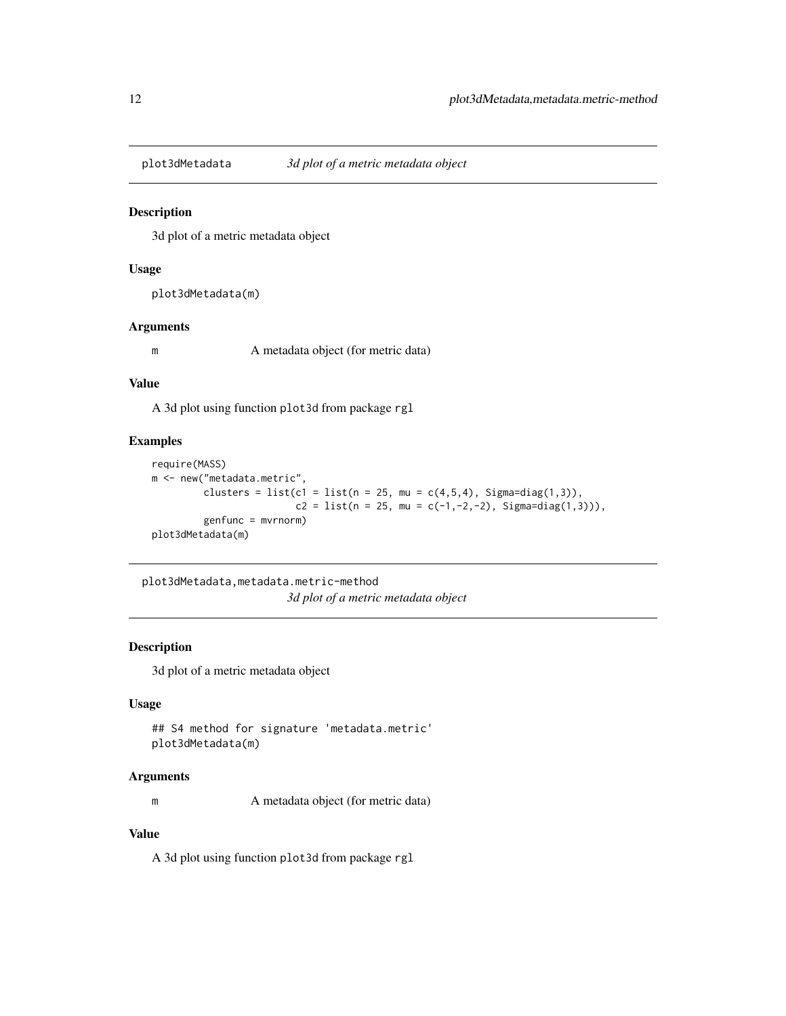<span id="page-11-0"></span>

3d plot of a metric metadata object

# Usage

plot3dMetadata(m)

#### Arguments

m A metadata object (for metric data)

#### Value

A 3d plot using function plot3d from package rgl

# Examples

```
require(MASS)
m <- new("metadata.metric",
        clusters = list(c1 = list(n = 25, mu = c(4,5,4), Signa=diag(1,3)),c2 = list(n = 25, mu = c(-1, -2, -2), Signa = diag(1,3))),genfunc = mvrnorm)
plot3dMetadata(m)
```
plot3dMetadata,metadata.metric-method *3d plot of a metric metadata object*

#### Description

3d plot of a metric metadata object

#### Usage

```
## S4 method for signature 'metadata.metric'
plot3dMetadata(m)
```
#### Arguments

m A metadata object (for metric data)

# Value

A 3d plot using function plot3d from package rgl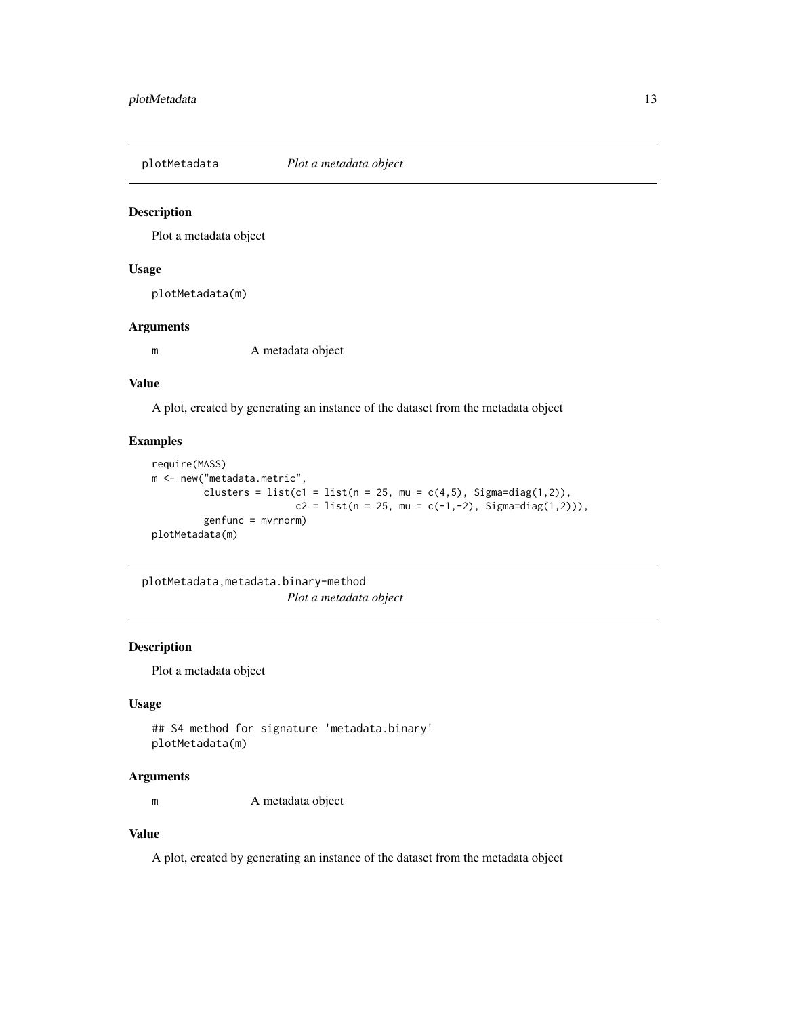<span id="page-12-0"></span>

Plot a metadata object

# Usage

plotMetadata(m)

# Arguments

m A metadata object

#### Value

A plot, created by generating an instance of the dataset from the metadata object

#### Examples

```
require(MASS)
m <- new("metadata.metric",
        clusters = list(c1 = list(n = 25, mu = c(4,5), Sigma=diag(1,2)),c2 = list(n = 25, mu = c(-1, -2), Signa=diag(1, 2)),
         genfunc = mvrnorm)
plotMetadata(m)
```
plotMetadata,metadata.binary-method *Plot a metadata object*

#### Description

Plot a metadata object

#### Usage

```
## S4 method for signature 'metadata.binary'
plotMetadata(m)
```
#### Arguments

m A metadata object

# Value

A plot, created by generating an instance of the dataset from the metadata object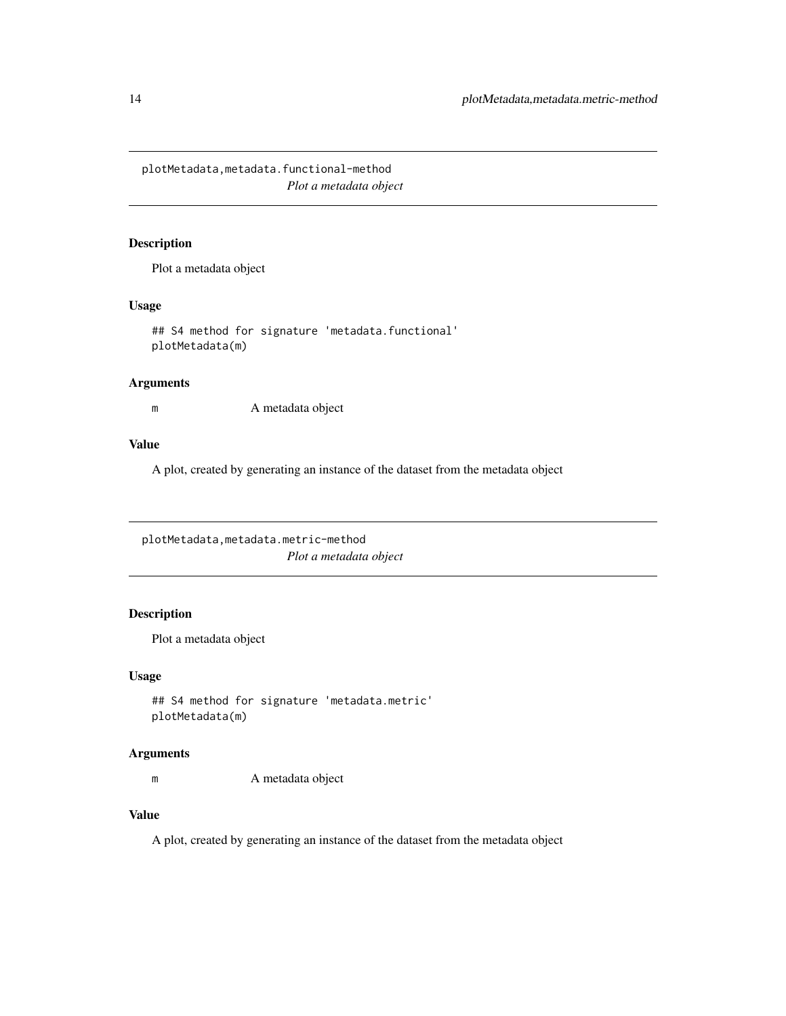<span id="page-13-0"></span>plotMetadata,metadata.functional-method *Plot a metadata object*

#### Description

Plot a metadata object

# Usage

## S4 method for signature 'metadata.functional' plotMetadata(m)

#### Arguments

m A metadata object

# Value

A plot, created by generating an instance of the dataset from the metadata object

plotMetadata,metadata.metric-method *Plot a metadata object*

# Description

Plot a metadata object

# Usage

```
## S4 method for signature 'metadata.metric'
plotMetadata(m)
```
### Arguments

m A metadata object

#### Value

A plot, created by generating an instance of the dataset from the metadata object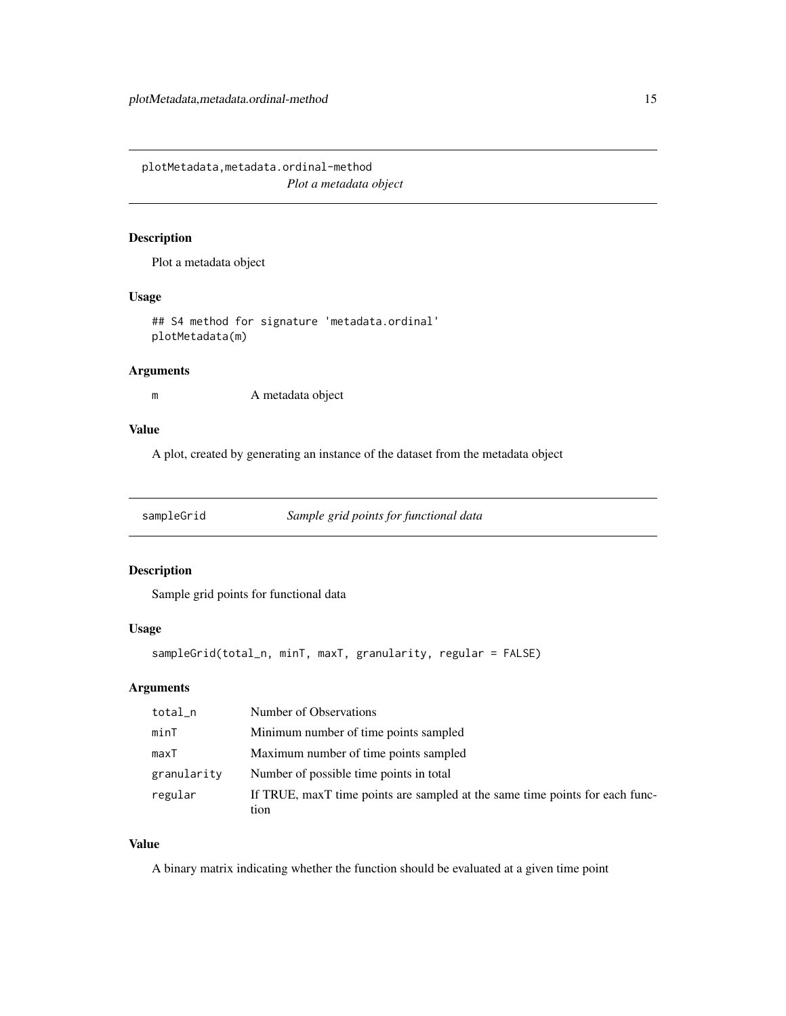<span id="page-14-0"></span>plotMetadata,metadata.ordinal-method *Plot a metadata object*

# Description

Plot a metadata object

#### Usage

## S4 method for signature 'metadata.ordinal' plotMetadata(m)

#### Arguments

m A metadata object

#### Value

A plot, created by generating an instance of the dataset from the metadata object

sampleGrid *Sample grid points for functional data*

# Description

Sample grid points for functional data

# Usage

sampleGrid(total\_n, minT, maxT, granularity, regular = FALSE)

# Arguments

| total_n     | Number of Observations                                                       |
|-------------|------------------------------------------------------------------------------|
| minT        | Minimum number of time points sampled                                        |
| maxT        | Maximum number of time points sampled                                        |
| granularity | Number of possible time points in total                                      |
| regular     | If TRUE, maxT time points are sampled at the same time points for each func- |
|             | tion                                                                         |

#### Value

A binary matrix indicating whether the function should be evaluated at a given time point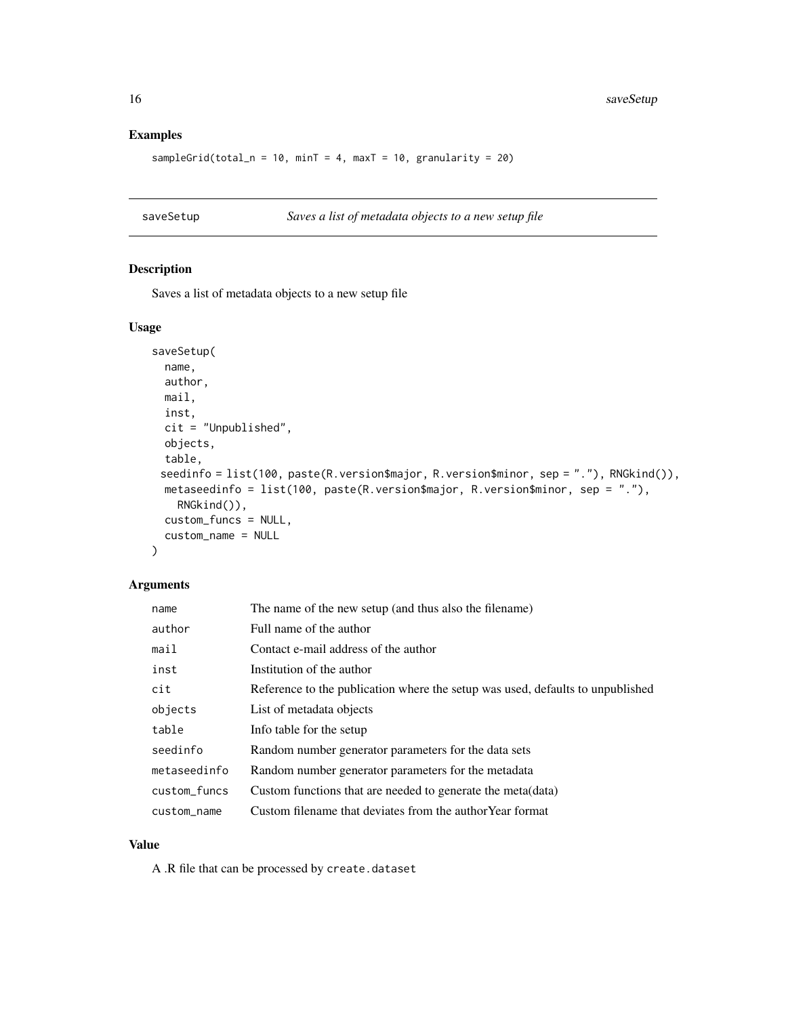#### Examples

```
sampleGrid(total_n = 10, minT = 4, maxT = 10, granularity = 20)
```
saveSetup *Saves a list of metadata objects to a new setup file*

#### Description

Saves a list of metadata objects to a new setup file

#### Usage

```
saveSetup(
 name,
 author,
 mail,
  inst,
 cit = "Unpublished",
 objects,
  table,
 seedinfo = list(100, paste(R.version$major, R.version$minor, sep = "."), RNGkind()),
 metaseedinfo = list(100, paste(R.version$major, R.version$minor, sep = "."),
    RNGkind()),
  custom_funcs = NULL,
  custom_name = NULL
)
```
#### Arguments

| name         | The name of the new setup (and thus also the filename)                         |
|--------------|--------------------------------------------------------------------------------|
| author       | Full name of the author                                                        |
| mail         | Contact e-mail address of the author                                           |
| inst         | Institution of the author                                                      |
| cit          | Reference to the publication where the setup was used, defaults to unpublished |
| objects      | List of metadata objects                                                       |
| table        | Info table for the setup                                                       |
| seedinfo     | Random number generator parameters for the data sets                           |
| metaseedinfo | Random number generator parameters for the metadata                            |
| custom_funcs | Custom functions that are needed to generate the meta (data)                   |
| custom_name  | Custom filename that deviates from the author Year format                      |

#### Value

A .R file that can be processed by create.dataset

<span id="page-15-0"></span>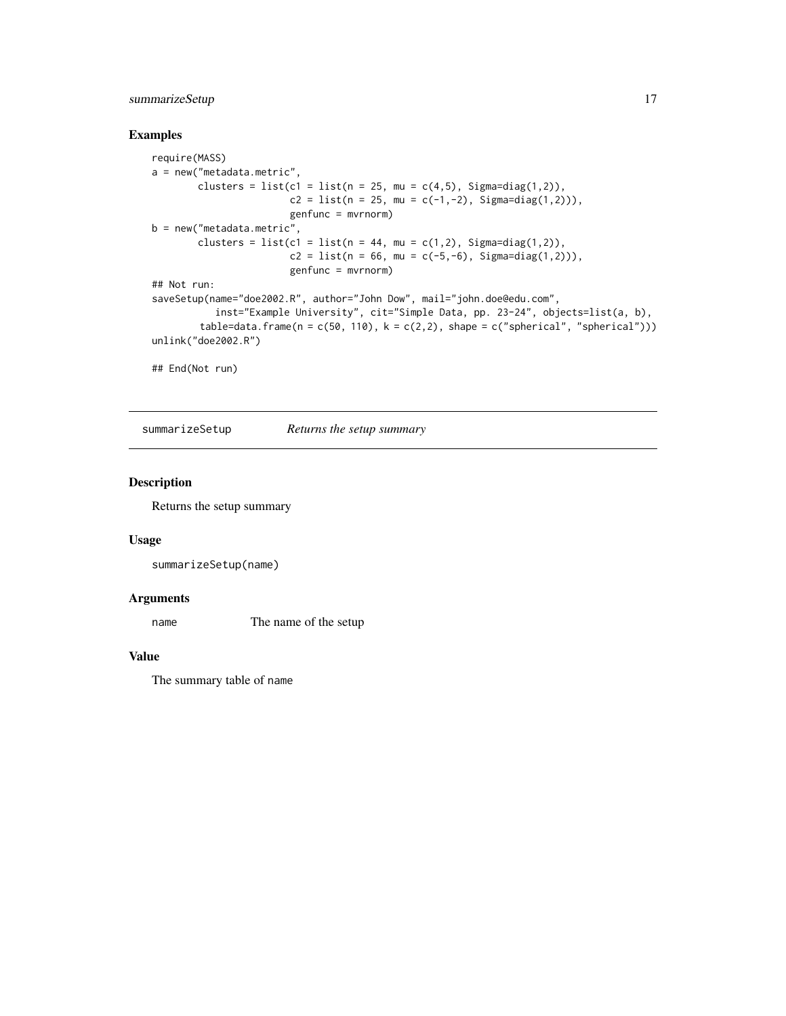# <span id="page-16-0"></span>summarizeSetup 17

#### Examples

```
require(MASS)
a = new("metadata.metric",
        clusters = list(c1 = list(n = 25, mu = c(4,5), Sigma=diag(1,2)),
                        c2 = list(n = 25, mu = c(-1, -2), Signa = diag(1, 2)),
                        genfunc = mvrnorm)
b = new("metadata.metric",
        clusters = list(c1 = list(n = 44, mu = c(1,2), Sigma=diag(1,2)),
                        c2 = list(n = 66, mu = c(-5, -6), Signa = diag(1, 2)),
                        genfunc = mvrnorm)
## Not run:
saveSetup(name="doe2002.R", author="John Dow", mail="john.doe@edu.com",
           inst="Example University", cit="Simple Data, pp. 23-24", objects=list(a, b),
        table=data.frame(n = c(50, 110), k = c(2,2), shape = c("spherical", "spherical")))
unlink("doe2002.R")
```
## End(Not run)

summarizeSetup *Returns the setup summary*

#### Description

Returns the setup summary

#### Usage

```
summarizeSetup(name)
```
#### Arguments

name The name of the setup

#### Value

The summary table of name